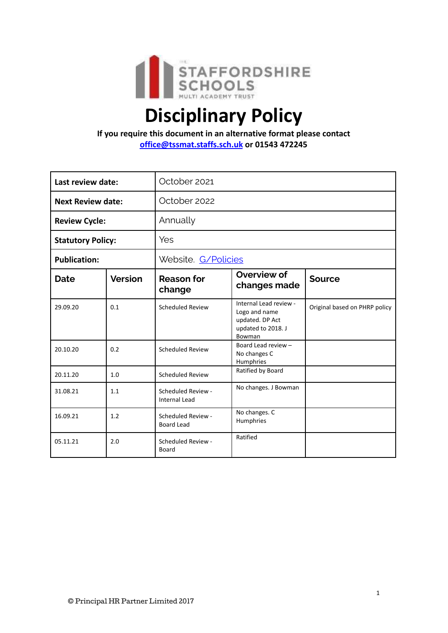

# **Disciplinary Policy**

**If you require this document in an alternative format please contact office@tssmat.staffs.sch.uk or 01543 472245**

| Last review date:        |                | October 2021                               |                                                                                            |                               |
|--------------------------|----------------|--------------------------------------------|--------------------------------------------------------------------------------------------|-------------------------------|
| <b>Next Review date:</b> |                | October 2022                               |                                                                                            |                               |
| <b>Review Cycle:</b>     |                | Annually                                   |                                                                                            |                               |
| <b>Statutory Policy:</b> |                | Yes                                        |                                                                                            |                               |
| <b>Publication:</b>      |                | Website. G/Policies                        |                                                                                            |                               |
| <b>Date</b>              | <b>Version</b> | <b>Reason for</b><br>change                | Overview of<br>changes made                                                                | <b>Source</b>                 |
| 29.09.20                 | 0.1            | <b>Scheduled Review</b>                    | Internal Lead review -<br>Logo and name<br>updated. DP Act<br>updated to 2018. J<br>Bowman | Original based on PHRP policy |
| 20.10.20                 | 0.2            | <b>Scheduled Review</b>                    | Board Lead review -<br>No changes C<br>Humphries                                           |                               |
| 20.11.20                 | 1.0            | <b>Scheduled Review</b>                    | Ratified by Board                                                                          |                               |
| 31.08.21                 | 1.1            | Scheduled Review -<br><b>Internal Lead</b> | No changes. J Bowman                                                                       |                               |
| 16.09.21                 | 1.2            | Scheduled Review -<br><b>Board Lead</b>    | No changes. C<br>Humphries                                                                 |                               |
| 05.11.21                 | 2.0            | Scheduled Review -<br>Board                | Ratified                                                                                   |                               |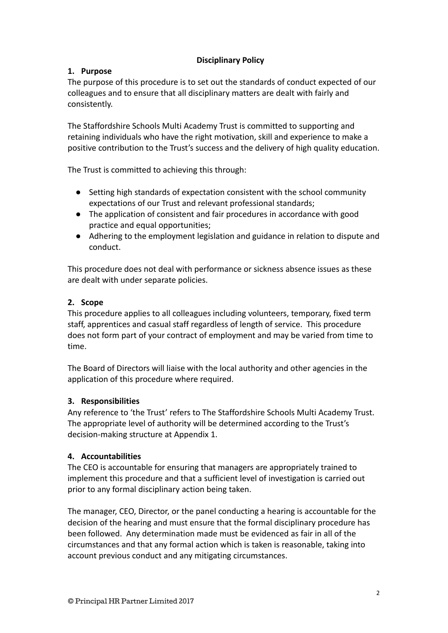# **Disciplinary Policy**

# **1. Purpose**

The purpose of this procedure is to set out the standards of conduct expected of our colleagues and to ensure that all disciplinary matters are dealt with fairly and consistently.

The Staffordshire Schools Multi Academy Trust is committed to supporting and retaining individuals who have the right motivation, skill and experience to make a positive contribution to the Trust's success and the delivery of high quality education.

The Trust is committed to achieving this through:

- Setting high standards of expectation consistent with the school community expectations of our Trust and relevant professional standards;
- The application of consistent and fair procedures in accordance with good practice and equal opportunities;
- Adhering to the employment legislation and guidance in relation to dispute and conduct.

This procedure does not deal with performance or sickness absence issues as these are dealt with under separate policies.

# **2. Scope**

This procedure applies to all colleagues including volunteers, temporary, fixed term staff, apprentices and casual staff regardless of length of service. This procedure does not form part of your contract of employment and may be varied from time to time.

The Board of Directors will liaise with the local authority and other agencies in the application of this procedure where required.

# **3. Responsibilities**

Any reference to 'the Trust' refers to The Staffordshire Schools Multi Academy Trust. The appropriate level of authority will be determined according to the Trust's decision-making structure at Appendix 1.

# **4. Accountabilities**

The CEO is accountable for ensuring that managers are appropriately trained to implement this procedure and that a sufficient level of investigation is carried out prior to any formal disciplinary action being taken.

The manager, CEO, Director, or the panel conducting a hearing is accountable for the decision of the hearing and must ensure that the formal disciplinary procedure has been followed. Any determination made must be evidenced as fair in all of the circumstances and that any formal action which is taken is reasonable, taking into account previous conduct and any mitigating circumstances.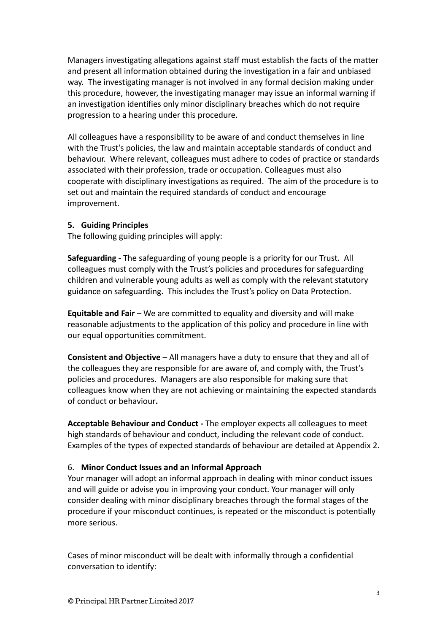Managers investigating allegations against staff must establish the facts of the matter and present all information obtained during the investigation in a fair and unbiased way. The investigating manager is not involved in any formal decision making under this procedure, however, the investigating manager may issue an informal warning if an investigation identifies only minor disciplinary breaches which do not require progression to a hearing under this procedure.

All colleagues have a responsibility to be aware of and conduct themselves in line with the Trust's policies, the law and maintain acceptable standards of conduct and behaviour. Where relevant, colleagues must adhere to codes of practice or standards associated with their profession, trade or occupation. Colleagues must also cooperate with disciplinary investigations as required. The aim of the procedure is to set out and maintain the required standards of conduct and encourage improvement.

#### **5. Guiding Principles**

The following guiding principles will apply:

**Safeguarding** - The safeguarding of young people is a priority for our Trust. All colleagues must comply with the Trust's policies and procedures for safeguarding children and vulnerable young adults as well as comply with the relevant statutory guidance on safeguarding. This includes the Trust's policy on Data Protection.

**Equitable and Fair** – We are committed to equality and diversity and will make reasonable adjustments to the application of this policy and procedure in line with our equal opportunities commitment.

**Consistent and Objective** – All managers have a duty to ensure that they and all of the colleagues they are responsible for are aware of, and comply with, the Trust's policies and procedures. Managers are also responsible for making sure that colleagues know when they are not achieving or maintaining the expected standards of conduct or behaviour**.**

**Acceptable Behaviour and Conduct -** The employer expects all colleagues to meet high standards of behaviour and conduct, including the relevant code of conduct. Examples of the types of expected standards of behaviour are detailed at Appendix 2.

#### 6. **Minor Conduct Issues and an Informal Approach**

Your manager will adopt an informal approach in dealing with minor conduct issues and will guide or advise you in improving your conduct. Your manager will only consider dealing with minor disciplinary breaches through the formal stages of the procedure if your misconduct continues, is repeated or the misconduct is potentially more serious.

Cases of minor misconduct will be dealt with informally through a confidential conversation to identify: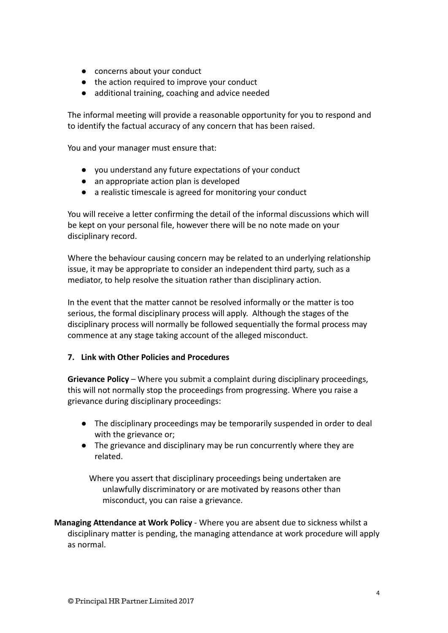- concerns about your conduct
- the action required to improve your conduct
- additional training, coaching and advice needed

The informal meeting will provide a reasonable opportunity for you to respond and to identify the factual accuracy of any concern that has been raised.

You and your manager must ensure that:

- you understand any future expectations of your conduct
- an appropriate action plan is developed
- a realistic timescale is agreed for monitoring your conduct

You will receive a letter confirming the detail of the informal discussions which will be kept on your personal file, however there will be no note made on your disciplinary record.

Where the behaviour causing concern may be related to an underlying relationship issue, it may be appropriate to consider an independent third party, such as a mediator, to help resolve the situation rather than disciplinary action.

In the event that the matter cannot be resolved informally or the matter is too serious, the formal disciplinary process will apply. Although the stages of the disciplinary process will normally be followed sequentially the formal process may commence at any stage taking account of the alleged misconduct.

## **7. Link with Other Policies and Procedures**

**Grievance Policy** – Where you submit a complaint during disciplinary proceedings, this will not normally stop the proceedings from progressing. Where you raise a grievance during disciplinary proceedings:

- The disciplinary proceedings may be temporarily suspended in order to deal with the grievance or;
- The grievance and disciplinary may be run concurrently where they are related.

Where you assert that disciplinary proceedings being undertaken are unlawfully discriminatory or are motivated by reasons other than misconduct, you can raise a grievance.

**Managing Attendance at Work Policy** - Where you are absent due to sickness whilst a disciplinary matter is pending, the managing attendance at work procedure will apply as normal.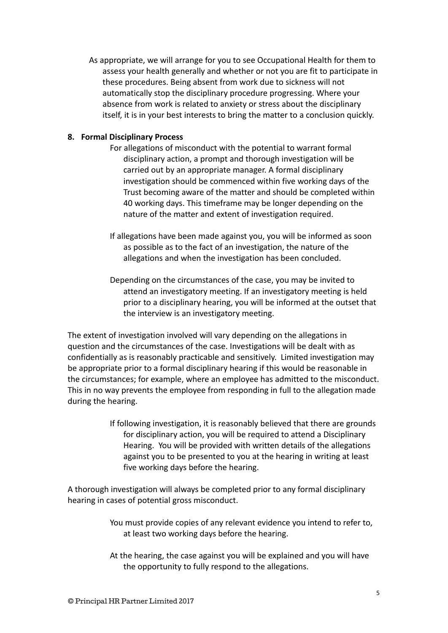As appropriate, we will arrange for you to see Occupational Health for them to assess your health generally and whether or not you are fit to participate in these procedures. Being absent from work due to sickness will not automatically stop the disciplinary procedure progressing. Where your absence from work is related to anxiety or stress about the disciplinary itself, it is in your best interests to bring the matter to a conclusion quickly.

## **8. Formal Disciplinary Process**

- For allegations of misconduct with the potential to warrant formal disciplinary action, a prompt and thorough investigation will be carried out by an appropriate manager. A formal disciplinary investigation should be commenced within five working days of the Trust becoming aware of the matter and should be completed within 40 working days. This timeframe may be longer depending on the nature of the matter and extent of investigation required.
- If allegations have been made against you, you will be informed as soon as possible as to the fact of an investigation, the nature of the allegations and when the investigation has been concluded.
- Depending on the circumstances of the case, you may be invited to attend an investigatory meeting. If an investigatory meeting is held prior to a disciplinary hearing, you will be informed at the outset that the interview is an investigatory meeting.

The extent of investigation involved will vary depending on the allegations in question and the circumstances of the case. Investigations will be dealt with as confidentially as is reasonably practicable and sensitively. Limited investigation may be appropriate prior to a formal disciplinary hearing if this would be reasonable in the circumstances; for example, where an employee has admitted to the misconduct. This in no way prevents the employee from responding in full to the allegation made during the hearing.

> If following investigation, it is reasonably believed that there are grounds for disciplinary action, you will be required to attend a Disciplinary Hearing. You will be provided with written details of the allegations against you to be presented to you at the hearing in writing at least five working days before the hearing.

A thorough investigation will always be completed prior to any formal disciplinary hearing in cases of potential gross misconduct.

- You must provide copies of any relevant evidence you intend to refer to, at least two working days before the hearing.
- At the hearing, the case against you will be explained and you will have the opportunity to fully respond to the allegations.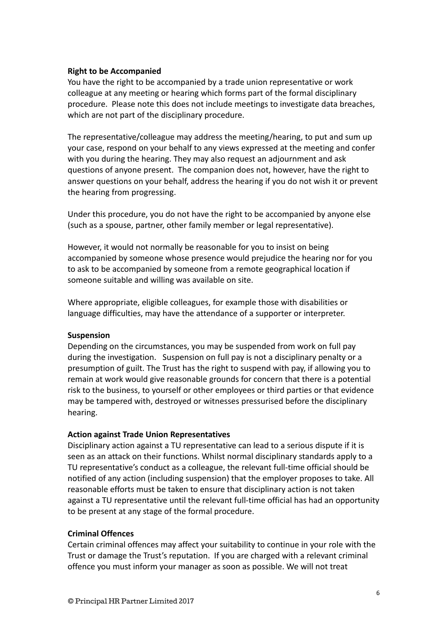## **Right to be Accompanied**

You have the right to be accompanied by a trade union representative or work colleague at any meeting or hearing which forms part of the formal disciplinary procedure. Please note this does not include meetings to investigate data breaches, which are not part of the disciplinary procedure.

The representative/colleague may address the meeting/hearing, to put and sum up your case, respond on your behalf to any views expressed at the meeting and confer with you during the hearing. They may also request an adjournment and ask questions of anyone present. The companion does not, however, have the right to answer questions on your behalf, address the hearing if you do not wish it or prevent the hearing from progressing.

Under this procedure, you do not have the right to be accompanied by anyone else (such as a spouse, partner, other family member or legal representative).

However, it would not normally be reasonable for you to insist on being accompanied by someone whose presence would prejudice the hearing nor for you to ask to be accompanied by someone from a remote geographical location if someone suitable and willing was available on site.

Where appropriate, eligible colleagues, for example those with disabilities or language difficulties, may have the attendance of a supporter or interpreter.

#### **Suspension**

Depending on the circumstances, you may be suspended from work on full pay during the investigation. Suspension on full pay is not a disciplinary penalty or a presumption of guilt. The Trust has the right to suspend with pay, if allowing you to remain at work would give reasonable grounds for concern that there is a potential risk to the business, to yourself or other employees or third parties or that evidence may be tampered with, destroyed or witnesses pressurised before the disciplinary hearing.

## **Action against Trade Union Representatives**

Disciplinary action against a TU representative can lead to a serious dispute if it is seen as an attack on their functions. Whilst normal disciplinary standards apply to a TU representative's conduct as a colleague, the relevant full-time official should be notified of any action (including suspension) that the employer proposes to take. All reasonable efforts must be taken to ensure that disciplinary action is not taken against a TU representative until the relevant full-time official has had an opportunity to be present at any stage of the formal procedure.

#### **Criminal Offences**

Certain criminal offences may affect your suitability to continue in your role with the Trust or damage the Trust's reputation. If you are charged with a relevant criminal offence you must inform your manager as soon as possible. We will not treat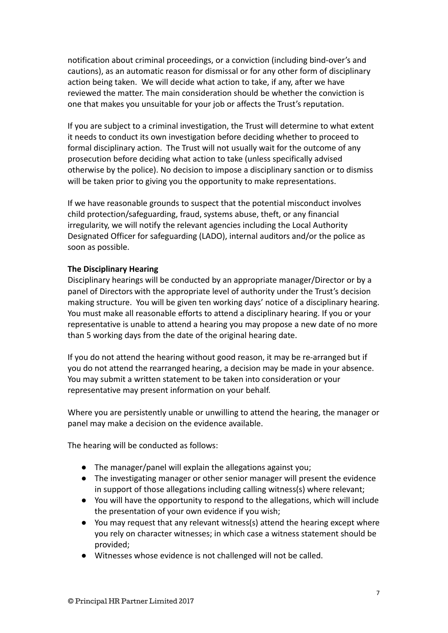notification about criminal proceedings, or a conviction (including bind-over's and cautions), as an automatic reason for dismissal or for any other form of disciplinary action being taken. We will decide what action to take, if any, after we have reviewed the matter. The main consideration should be whether the conviction is one that makes you unsuitable for your job or affects the Trust's reputation.

If you are subject to a criminal investigation, the Trust will determine to what extent it needs to conduct its own investigation before deciding whether to proceed to formal disciplinary action. The Trust will not usually wait for the outcome of any prosecution before deciding what action to take (unless specifically advised otherwise by the police). No decision to impose a disciplinary sanction or to dismiss will be taken prior to giving you the opportunity to make representations.

If we have reasonable grounds to suspect that the potential misconduct involves child protection/safeguarding, fraud, systems abuse, theft, or any financial irregularity, we will notify the relevant agencies including the Local Authority Designated Officer for safeguarding (LADO), internal auditors and/or the police as soon as possible.

#### **The Disciplinary Hearing**

Disciplinary hearings will be conducted by an appropriate manager/Director or by a panel of Directors with the appropriate level of authority under the Trust's decision making structure. You will be given ten working days' notice of a disciplinary hearing. You must make all reasonable efforts to attend a disciplinary hearing. If you or your representative is unable to attend a hearing you may propose a new date of no more than 5 working days from the date of the original hearing date.

If you do not attend the hearing without good reason, it may be re-arranged but if you do not attend the rearranged hearing, a decision may be made in your absence. You may submit a written statement to be taken into consideration or your representative may present information on your behalf.

Where you are persistently unable or unwilling to attend the hearing, the manager or panel may make a decision on the evidence available.

The hearing will be conducted as follows:

- The manager/panel will explain the allegations against you;
- The investigating manager or other senior manager will present the evidence in support of those allegations including calling witness(s) where relevant;
- You will have the opportunity to respond to the allegations, which will include the presentation of your own evidence if you wish;
- You may request that any relevant witness(s) attend the hearing except where you rely on character witnesses; in which case a witness statement should be provided;
- Witnesses whose evidence is not challenged will not be called.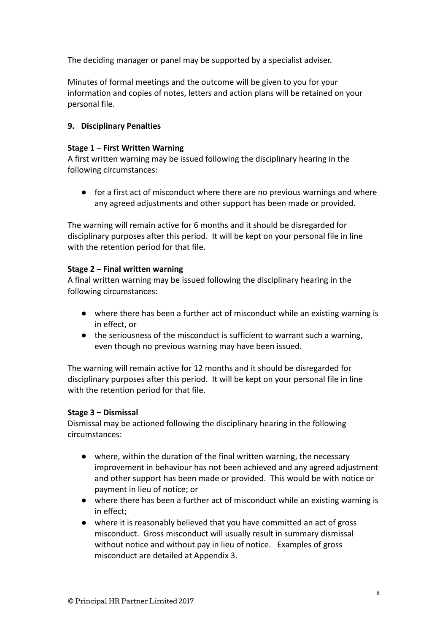The deciding manager or panel may be supported by a specialist adviser.

Minutes of formal meetings and the outcome will be given to you for your information and copies of notes, letters and action plans will be retained on your personal file.

# **9. Disciplinary Penalties**

## **Stage 1 – First Written Warning**

A first written warning may be issued following the disciplinary hearing in the following circumstances:

● for a first act of misconduct where there are no previous warnings and where any agreed adjustments and other support has been made or provided.

The warning will remain active for 6 months and it should be disregarded for disciplinary purposes after this period. It will be kept on your personal file in line with the retention period for that file.

## **Stage 2 – Final written warning**

A final written warning may be issued following the disciplinary hearing in the following circumstances:

- where there has been a further act of misconduct while an existing warning is in effect, or
- the seriousness of the misconduct is sufficient to warrant such a warning, even though no previous warning may have been issued.

The warning will remain active for 12 months and it should be disregarded for disciplinary purposes after this period. It will be kept on your personal file in line with the retention period for that file.

## **Stage 3 – Dismissal**

Dismissal may be actioned following the disciplinary hearing in the following circumstances:

- where, within the duration of the final written warning, the necessary improvement in behaviour has not been achieved and any agreed adjustment and other support has been made or provided. This would be with notice or payment in lieu of notice; or
- where there has been a further act of misconduct while an existing warning is in effect;
- where it is reasonably believed that you have committed an act of gross misconduct. Gross misconduct will usually result in summary dismissal without notice and without pay in lieu of notice. Examples of gross misconduct are detailed at Appendix 3.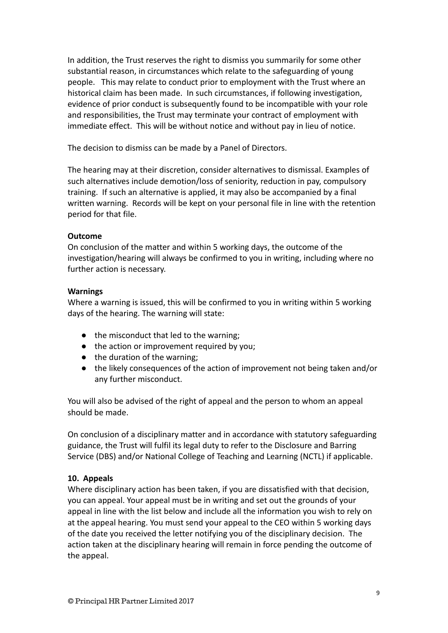In addition, the Trust reserves the right to dismiss you summarily for some other substantial reason, in circumstances which relate to the safeguarding of young people. This may relate to conduct prior to employment with the Trust where an historical claim has been made. In such circumstances, if following investigation, evidence of prior conduct is subsequently found to be incompatible with your role and responsibilities, the Trust may terminate your contract of employment with immediate effect. This will be without notice and without pay in lieu of notice.

The decision to dismiss can be made by a Panel of Directors.

The hearing may at their discretion, consider alternatives to dismissal. Examples of such alternatives include demotion/loss of seniority, reduction in pay, compulsory training. If such an alternative is applied, it may also be accompanied by a final written warning. Records will be kept on your personal file in line with the retention period for that file.

## **Outcome**

On conclusion of the matter and within 5 working days, the outcome of the investigation/hearing will always be confirmed to you in writing, including where no further action is necessary.

## **Warnings**

Where a warning is issued, this will be confirmed to you in writing within 5 working days of the hearing. The warning will state:

- the misconduct that led to the warning;
- the action or improvement required by you;
- the duration of the warning;
- the likely consequences of the action of improvement not being taken and/or any further misconduct.

You will also be advised of the right of appeal and the person to whom an appeal should be made.

On conclusion of a disciplinary matter and in accordance with statutory safeguarding guidance, the Trust will fulfil its legal duty to refer to the Disclosure and Barring Service (DBS) and/or National College of Teaching and Learning (NCTL) if applicable.

# **10. Appeals**

Where disciplinary action has been taken, if you are dissatisfied with that decision, you can appeal. Your appeal must be in writing and set out the grounds of your appeal in line with the list below and include all the information you wish to rely on at the appeal hearing. You must send your appeal to the CEO within 5 working days of the date you received the letter notifying you of the disciplinary decision. The action taken at the disciplinary hearing will remain in force pending the outcome of the appeal.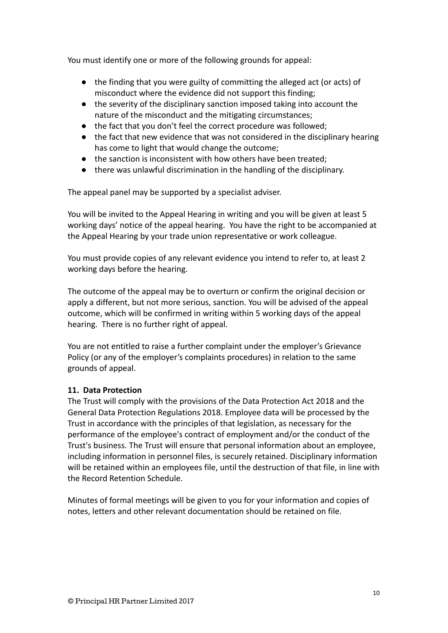You must identify one or more of the following grounds for appeal:

- the finding that you were guilty of committing the alleged act (or acts) of misconduct where the evidence did not support this finding;
- the severity of the disciplinary sanction imposed taking into account the nature of the misconduct and the mitigating circumstances;
- the fact that you don't feel the correct procedure was followed;
- the fact that new evidence that was not considered in the disciplinary hearing has come to light that would change the outcome;
- the sanction is inconsistent with how others have been treated;
- there was unlawful discrimination in the handling of the disciplinary.

The appeal panel may be supported by a specialist adviser.

You will be invited to the Appeal Hearing in writing and you will be given at least 5 working days' notice of the appeal hearing. You have the right to be accompanied at the Appeal Hearing by your trade union representative or work colleague.

You must provide copies of any relevant evidence you intend to refer to, at least 2 working days before the hearing.

The outcome of the appeal may be to overturn or confirm the original decision or apply a different, but not more serious, sanction. You will be advised of the appeal outcome, which will be confirmed in writing within 5 working days of the appeal hearing. There is no further right of appeal.

You are not entitled to raise a further complaint under the employer's Grievance Policy (or any of the employer's complaints procedures) in relation to the same grounds of appeal.

# **11. Data Protection**

The Trust will comply with the provisions of the Data Protection Act 2018 and the General Data Protection Regulations 2018. Employee data will be processed by the Trust in accordance with the principles of that legislation, as necessary for the performance of the employee's contract of employment and/or the conduct of the Trust's business. The Trust will ensure that personal information about an employee, including information in personnel files, is securely retained. Disciplinary information will be retained within an employees file, until the destruction of that file, in line with the Record Retention Schedule.

Minutes of formal meetings will be given to you for your information and copies of notes, letters and other relevant documentation should be retained on file.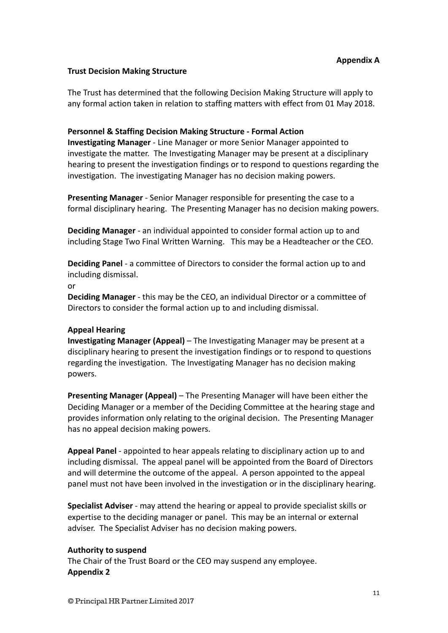#### **Trust Decision Making Structure**

The Trust has determined that the following Decision Making Structure will apply to any formal action taken in relation to staffing matters with effect from 01 May 2018.

#### **Personnel & Staffing Decision Making Structure - Formal Action**

**Investigating Manager** - Line Manager or more Senior Manager appointed to investigate the matter. The Investigating Manager may be present at a disciplinary hearing to present the investigation findings or to respond to questions regarding the investigation. The investigating Manager has no decision making powers.

**Presenting Manager** - Senior Manager responsible for presenting the case to a formal disciplinary hearing. The Presenting Manager has no decision making powers.

**Deciding Manager** - an individual appointed to consider formal action up to and including Stage Two Final Written Warning. This may be a Headteacher or the CEO.

**Deciding Panel** - a committee of Directors to consider the formal action up to and including dismissal.

or

**Deciding Manager** - this may be the CEO, an individual Director or a committee of Directors to consider the formal action up to and including dismissal.

#### **Appeal Hearing**

**Investigating Manager (Appeal)** – The Investigating Manager may be present at a disciplinary hearing to present the investigation findings or to respond to questions regarding the investigation. The Investigating Manager has no decision making powers.

**Presenting Manager (Appeal)** – The Presenting Manager will have been either the Deciding Manager or a member of the Deciding Committee at the hearing stage and provides information only relating to the original decision. The Presenting Manager has no appeal decision making powers.

**Appeal Panel** - appointed to hear appeals relating to disciplinary action up to and including dismissal. The appeal panel will be appointed from the Board of Directors and will determine the outcome of the appeal. A person appointed to the appeal panel must not have been involved in the investigation or in the disciplinary hearing.

**Specialist Adviser** - may attend the hearing or appeal to provide specialist skills or expertise to the deciding manager or panel. This may be an internal or external adviser. The Specialist Adviser has no decision making powers.

#### **Authority to suspend**

The Chair of the Trust Board or the CEO may suspend any employee. **Appendix 2**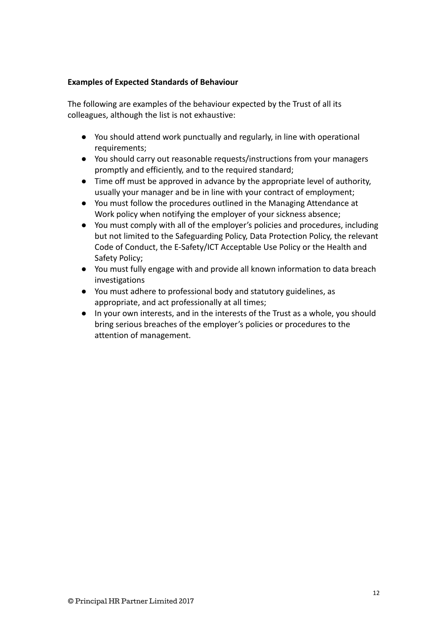## **Examples of Expected Standards of Behaviour**

The following are examples of the behaviour expected by the Trust of all its colleagues, although the list is not exhaustive:

- You should attend work punctually and regularly, in line with operational requirements;
- You should carry out reasonable requests/instructions from your managers promptly and efficiently, and to the required standard;
- Time off must be approved in advance by the appropriate level of authority, usually your manager and be in line with your contract of employment;
- You must follow the procedures outlined in the Managing Attendance at Work policy when notifying the employer of your sickness absence;
- You must comply with all of the employer's policies and procedures, including but not limited to the Safeguarding Policy, Data Protection Policy, the relevant Code of Conduct, the E-Safety/ICT Acceptable Use Policy or the Health and Safety Policy;
- You must fully engage with and provide all known information to data breach investigations
- You must adhere to professional body and statutory guidelines, as appropriate, and act professionally at all times;
- In your own interests, and in the interests of the Trust as a whole, you should bring serious breaches of the employer's policies or procedures to the attention of management.